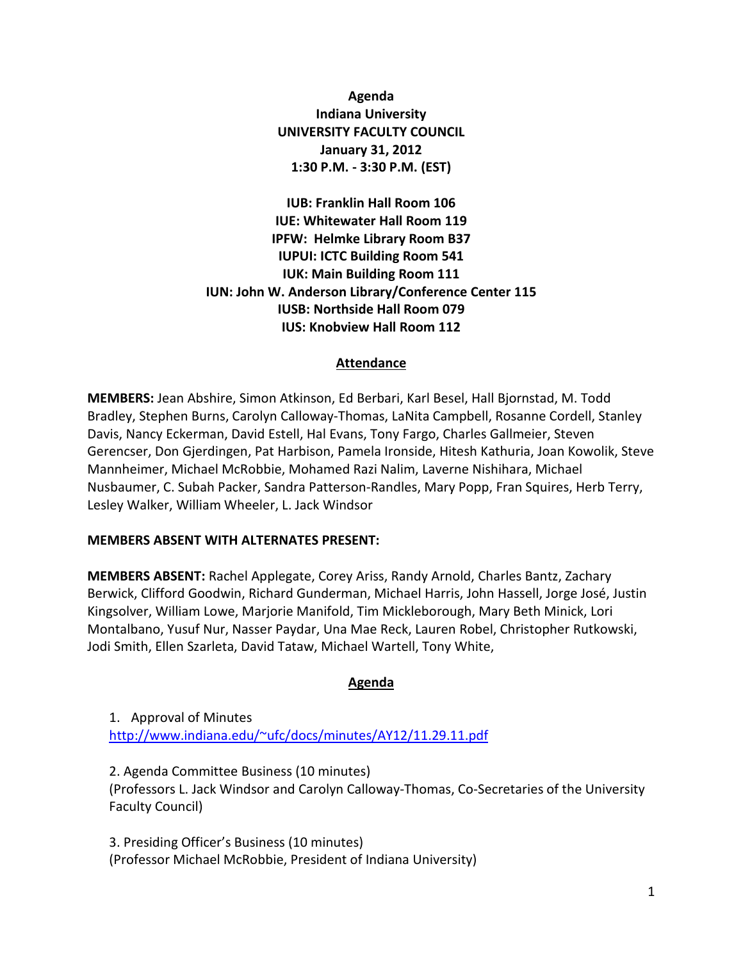**Agenda Indiana University UNIVERSITY FACULTY COUNCIL January 31, 2012 1:30 P.M. - 3:30 P.M. (EST)**

**IUB: Franklin Hall Room 106 IUE: Whitewater Hall Room 119 IPFW: Helmke Library Room B37 IUPUI: ICTC Building Room 541 IUK: Main Building Room 111 IUN: John W. Anderson Library/Conference Center 115 IUSB: Northside Hall Room 079 IUS: Knobview Hall Room 112**

#### **Attendance**

**MEMBERS:** Jean Abshire, Simon Atkinson, Ed Berbari, Karl Besel, Hall Bjornstad, M. Todd Bradley, Stephen Burns, Carolyn Calloway-Thomas, LaNita Campbell, Rosanne Cordell, Stanley Davis, Nancy Eckerman, David Estell, Hal Evans, Tony Fargo, Charles Gallmeier, Steven Gerencser, Don Gjerdingen, Pat Harbison, Pamela Ironside, Hitesh Kathuria, Joan Kowolik, Steve Mannheimer, Michael McRobbie, Mohamed Razi Nalim, Laverne Nishihara, Michael Nusbaumer, C. Subah Packer, Sandra Patterson-Randles, Mary Popp, Fran Squires, Herb Terry, Lesley Walker, William Wheeler, L. Jack Windsor

#### **MEMBERS ABSENT WITH ALTERNATES PRESENT:**

**MEMBERS ABSENT:** Rachel Applegate, Corey Ariss, Randy Arnold, Charles Bantz, Zachary Berwick, Clifford Goodwin, Richard Gunderman, Michael Harris, John Hassell, Jorge José, Justin Kingsolver, William Lowe, Marjorie Manifold, Tim Mickleborough, Mary Beth Minick, Lori Montalbano, Yusuf Nur, Nasser Paydar, Una Mae Reck, Lauren Robel, Christopher Rutkowski, Jodi Smith, Ellen Szarleta, David Tataw, Michael Wartell, Tony White,

#### **Agenda**

1. Approval of Minutes [http://www.indiana.edu/~ufc/docs/minutes/AY12/11.29.11.pdf](http://www.indiana.edu/%7Eufc/docs/minutes/AY12/11.29.11.pdf) 

2. Agenda Committee Business (10 minutes) (Professors L. Jack Windsor and Carolyn Calloway-Thomas, Co-Secretaries of the University Faculty Council)

3. Presiding Officer's Business (10 minutes) (Professor Michael McRobbie, President of Indiana University)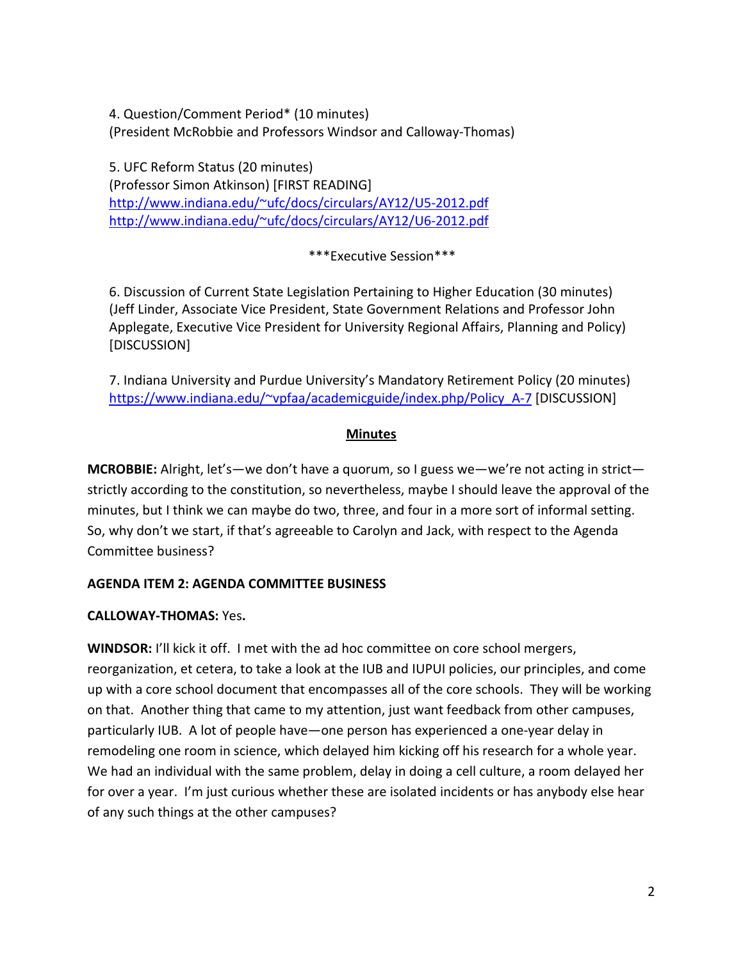4. Question/Comment Period\* (10 minutes) (President McRobbie and Professors Windsor and Calloway-Thomas)

5. UFC Reform Status (20 minutes) (Professor Simon Atkinson) [FIRST READING] [http://www.indiana.edu/~ufc/docs/circulars/AY12/U5-2012.pdf](http://www.indiana.edu/%7Eufc/docs/circulars/AY12/U5-2012.pdf)  [http://www.indiana.edu/~ufc/docs/circulars/AY12/U6-2012.pdf](http://www.indiana.edu/%7Eufc/docs/circulars/AY12/U6-2012.pdf) 

\*\*\*Executive Session\*\*\*

6. Discussion of Current State Legislation Pertaining to Higher Education (30 minutes) (Jeff Linder, Associate Vice President, State Government Relations and Professor John Applegate, Executive Vice President for University Regional Affairs, Planning and Policy) [DISCUSSION]

7. Indiana University and Purdue University's Mandatory Retirement Policy (20 minutes) [https://www.indiana.edu/~vpfaa/academicguide/index.php/Policy\\_A-7](https://www.indiana.edu/%7Evpfaa/academicguide/index.php/Policy_A-7) [DISCUSSION]

## **Minutes**

**MCROBBIE:** Alright, let's—we don't have a quorum, so I guess we—we're not acting in strict strictly according to the constitution, so nevertheless, maybe I should leave the approval of the minutes, but I think we can maybe do two, three, and four in a more sort of informal setting. So, why don't we start, if that's agreeable to Carolyn and Jack, with respect to the Agenda Committee business?

# **AGENDA ITEM 2: AGENDA COMMITTEE BUSINESS**

# **CALLOWAY-THOMAS:** Yes**.**

**WINDSOR:** I'll kick it off. I met with the ad hoc committee on core school mergers, reorganization, et cetera, to take a look at the IUB and IUPUI policies, our principles, and come up with a core school document that encompasses all of the core schools. They will be working on that. Another thing that came to my attention, just want feedback from other campuses, particularly IUB. A lot of people have—one person has experienced a one-year delay in remodeling one room in science, which delayed him kicking off his research for a whole year. We had an individual with the same problem, delay in doing a cell culture, a room delayed her for over a year. I'm just curious whether these are isolated incidents or has anybody else hear of any such things at the other campuses?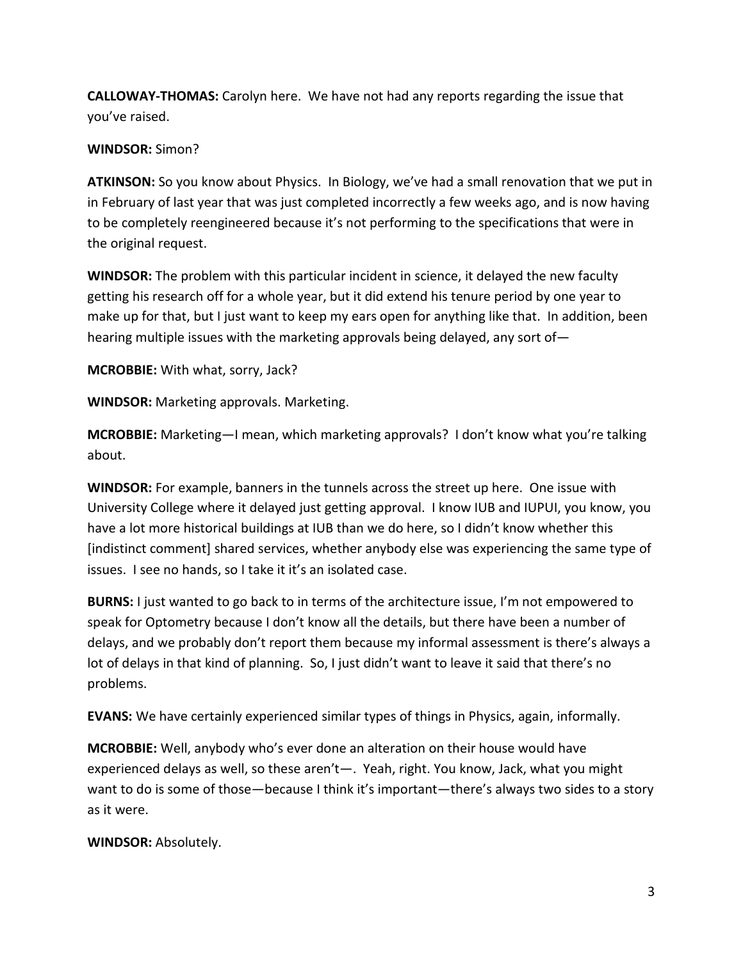**CALLOWAY-THOMAS:** Carolyn here. We have not had any reports regarding the issue that you've raised.

### **WINDSOR:** Simon?

**ATKINSON:** So you know about Physics. In Biology, we've had a small renovation that we put in in February of last year that was just completed incorrectly a few weeks ago, and is now having to be completely reengineered because it's not performing to the specifications that were in the original request.

**WINDSOR:** The problem with this particular incident in science, it delayed the new faculty getting his research off for a whole year, but it did extend his tenure period by one year to make up for that, but I just want to keep my ears open for anything like that. In addition, been hearing multiple issues with the marketing approvals being delayed, any sort of—

**MCROBBIE:** With what, sorry, Jack?

**WINDSOR:** Marketing approvals. Marketing.

**MCROBBIE:** Marketing—I mean, which marketing approvals? I don't know what you're talking about.

**WINDSOR:** For example, banners in the tunnels across the street up here. One issue with University College where it delayed just getting approval. I know IUB and IUPUI, you know, you have a lot more historical buildings at IUB than we do here, so I didn't know whether this [indistinct comment] shared services, whether anybody else was experiencing the same type of issues. I see no hands, so I take it it's an isolated case.

**BURNS:** I just wanted to go back to in terms of the architecture issue, I'm not empowered to speak for Optometry because I don't know all the details, but there have been a number of delays, and we probably don't report them because my informal assessment is there's always a lot of delays in that kind of planning. So, I just didn't want to leave it said that there's no problems.

**EVANS:** We have certainly experienced similar types of things in Physics, again, informally.

**MCROBBIE:** Well, anybody who's ever done an alteration on their house would have experienced delays as well, so these aren't—. Yeah, right. You know, Jack, what you might want to do is some of those—because I think it's important—there's always two sides to a story as it were.

**WINDSOR:** Absolutely.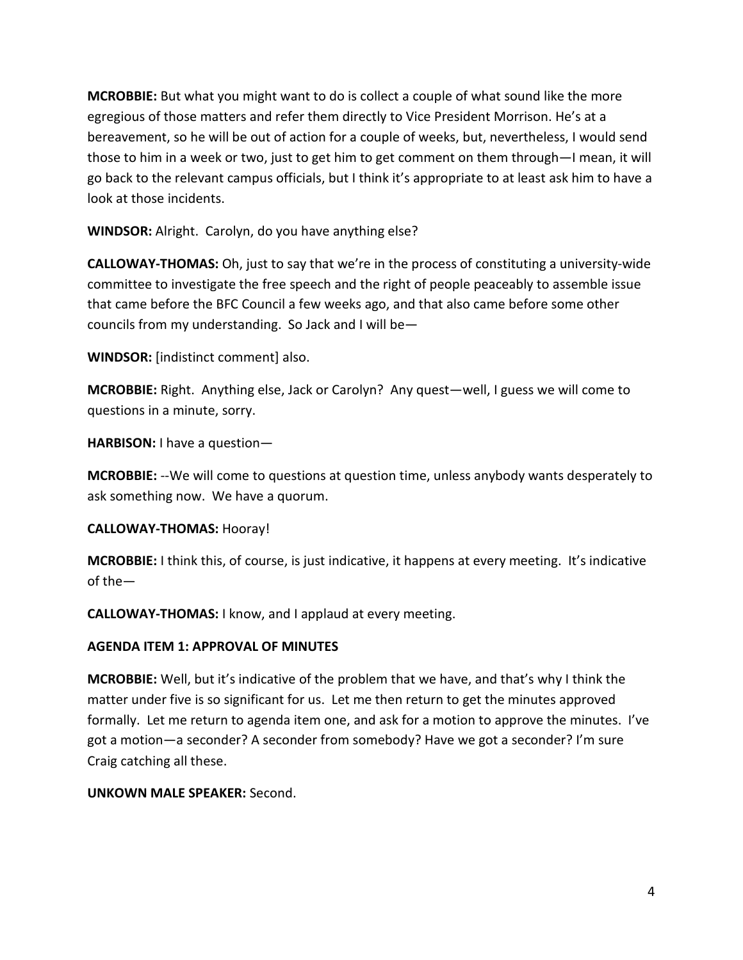**MCROBBIE:** But what you might want to do is collect a couple of what sound like the more egregious of those matters and refer them directly to Vice President Morrison. He's at a bereavement, so he will be out of action for a couple of weeks, but, nevertheless, I would send those to him in a week or two, just to get him to get comment on them through—I mean, it will go back to the relevant campus officials, but I think it's appropriate to at least ask him to have a look at those incidents.

**WINDSOR:** Alright. Carolyn, do you have anything else?

**CALLOWAY-THOMAS:** Oh, just to say that we're in the process of constituting a university-wide committee to investigate the free speech and the right of people peaceably to assemble issue that came before the BFC Council a few weeks ago, and that also came before some other councils from my understanding. So Jack and I will be—

**WINDSOR:** [indistinct comment] also.

**MCROBBIE:** Right. Anything else, Jack or Carolyn? Any quest—well, I guess we will come to questions in a minute, sorry.

**HARBISON:** I have a question—

**MCROBBIE:** --We will come to questions at question time, unless anybody wants desperately to ask something now. We have a quorum.

### **CALLOWAY-THOMAS:** Hooray!

**MCROBBIE:** I think this, of course, is just indicative, it happens at every meeting. It's indicative of the—

**CALLOWAY-THOMAS:** I know, and I applaud at every meeting.

### **AGENDA ITEM 1: APPROVAL OF MINUTES**

**MCROBBIE:** Well, but it's indicative of the problem that we have, and that's why I think the matter under five is so significant for us. Let me then return to get the minutes approved formally. Let me return to agenda item one, and ask for a motion to approve the minutes. I've got a motion—a seconder? A seconder from somebody? Have we got a seconder? I'm sure Craig catching all these.

### **UNKOWN MALE SPEAKER:** Second.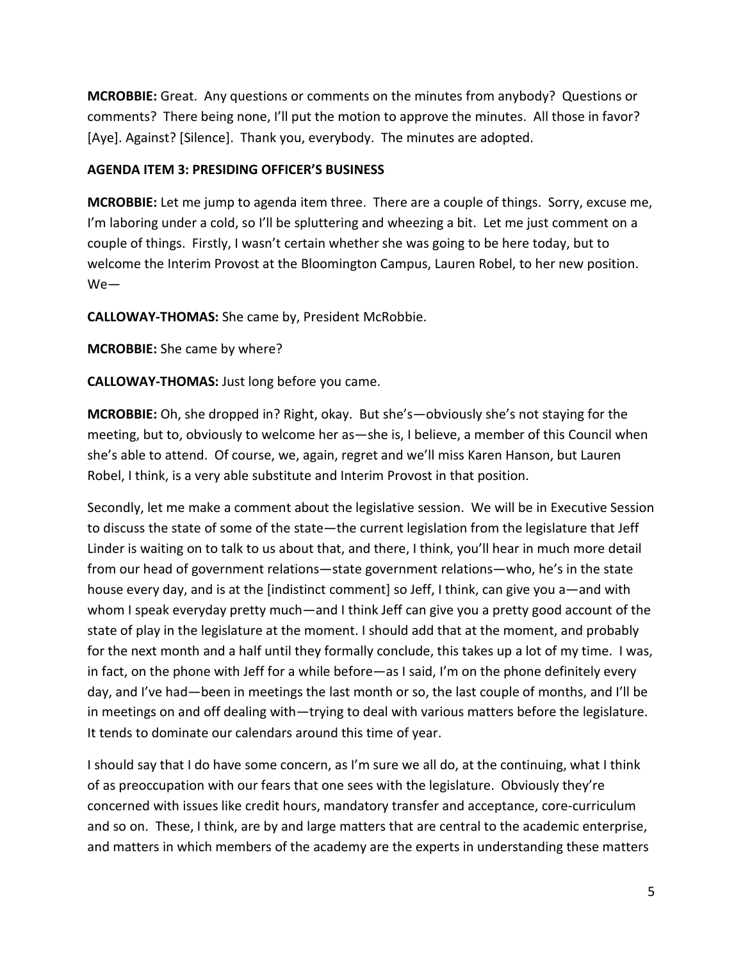**MCROBBIE:** Great. Any questions or comments on the minutes from anybody? Questions or comments? There being none, I'll put the motion to approve the minutes. All those in favor? [Aye]. Against? [Silence]. Thank you, everybody. The minutes are adopted.

### **AGENDA ITEM 3: PRESIDING OFFICER'S BUSINESS**

**MCROBBIE:** Let me jump to agenda item three. There are a couple of things. Sorry, excuse me, I'm laboring under a cold, so I'll be spluttering and wheezing a bit. Let me just comment on a couple of things. Firstly, I wasn't certain whether she was going to be here today, but to welcome the Interim Provost at the Bloomington Campus, Lauren Robel, to her new position. We—

**CALLOWAY-THOMAS:** She came by, President McRobbie.

**MCROBBIE:** She came by where?

**CALLOWAY-THOMAS:** Just long before you came.

**MCROBBIE:** Oh, she dropped in? Right, okay. But she's—obviously she's not staying for the meeting, but to, obviously to welcome her as—she is, I believe, a member of this Council when she's able to attend. Of course, we, again, regret and we'll miss Karen Hanson, but Lauren Robel, I think, is a very able substitute and Interim Provost in that position.

Secondly, let me make a comment about the legislative session. We will be in Executive Session to discuss the state of some of the state—the current legislation from the legislature that Jeff Linder is waiting on to talk to us about that, and there, I think, you'll hear in much more detail from our head of government relations—state government relations—who, he's in the state house every day, and is at the [indistinct comment] so Jeff, I think, can give you a—and with whom I speak everyday pretty much—and I think Jeff can give you a pretty good account of the state of play in the legislature at the moment. I should add that at the moment, and probably for the next month and a half until they formally conclude, this takes up a lot of my time. I was, in fact, on the phone with Jeff for a while before—as I said, I'm on the phone definitely every day, and I've had—been in meetings the last month or so, the last couple of months, and I'll be in meetings on and off dealing with—trying to deal with various matters before the legislature. It tends to dominate our calendars around this time of year.

I should say that I do have some concern, as I'm sure we all do, at the continuing, what I think of as preoccupation with our fears that one sees with the legislature. Obviously they're concerned with issues like credit hours, mandatory transfer and acceptance, core-curriculum and so on. These, I think, are by and large matters that are central to the academic enterprise, and matters in which members of the academy are the experts in understanding these matters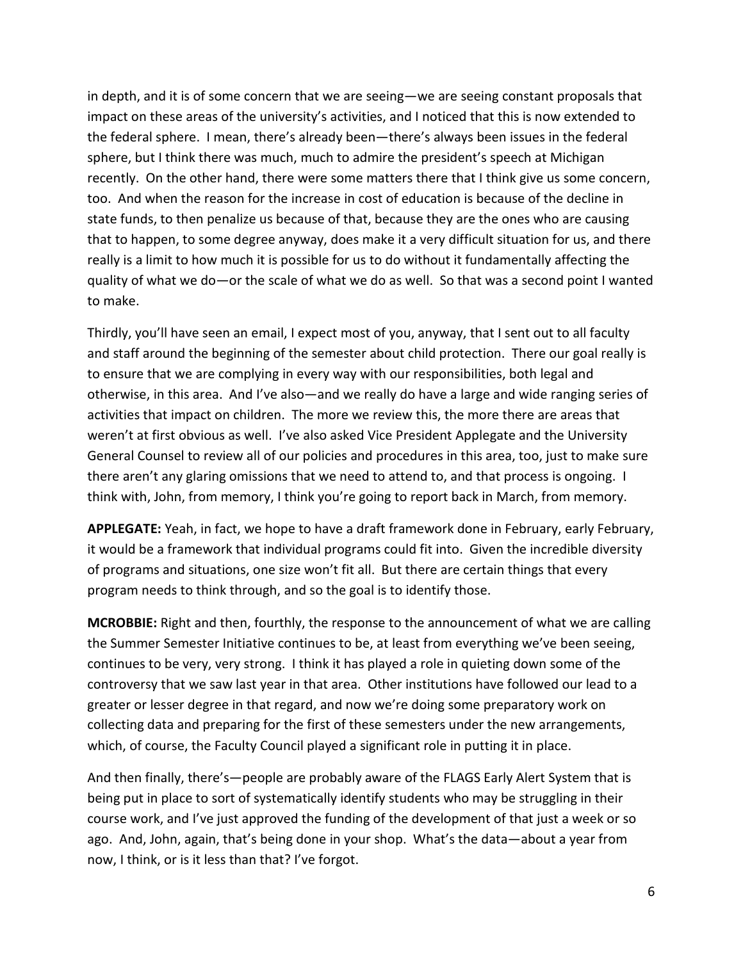in depth, and it is of some concern that we are seeing—we are seeing constant proposals that impact on these areas of the university's activities, and I noticed that this is now extended to the federal sphere. I mean, there's already been—there's always been issues in the federal sphere, but I think there was much, much to admire the president's speech at Michigan recently. On the other hand, there were some matters there that I think give us some concern, too. And when the reason for the increase in cost of education is because of the decline in state funds, to then penalize us because of that, because they are the ones who are causing that to happen, to some degree anyway, does make it a very difficult situation for us, and there really is a limit to how much it is possible for us to do without it fundamentally affecting the quality of what we do—or the scale of what we do as well. So that was a second point I wanted to make.

Thirdly, you'll have seen an email, I expect most of you, anyway, that I sent out to all faculty and staff around the beginning of the semester about child protection. There our goal really is to ensure that we are complying in every way with our responsibilities, both legal and otherwise, in this area. And I've also—and we really do have a large and wide ranging series of activities that impact on children. The more we review this, the more there are areas that weren't at first obvious as well. I've also asked Vice President Applegate and the University General Counsel to review all of our policies and procedures in this area, too, just to make sure there aren't any glaring omissions that we need to attend to, and that process is ongoing. I think with, John, from memory, I think you're going to report back in March, from memory.

**APPLEGATE:** Yeah, in fact, we hope to have a draft framework done in February, early February, it would be a framework that individual programs could fit into. Given the incredible diversity of programs and situations, one size won't fit all. But there are certain things that every program needs to think through, and so the goal is to identify those.

**MCROBBIE:** Right and then, fourthly, the response to the announcement of what we are calling the Summer Semester Initiative continues to be, at least from everything we've been seeing, continues to be very, very strong. I think it has played a role in quieting down some of the controversy that we saw last year in that area. Other institutions have followed our lead to a greater or lesser degree in that regard, and now we're doing some preparatory work on collecting data and preparing for the first of these semesters under the new arrangements, which, of course, the Faculty Council played a significant role in putting it in place.

And then finally, there's—people are probably aware of the FLAGS Early Alert System that is being put in place to sort of systematically identify students who may be struggling in their course work, and I've just approved the funding of the development of that just a week or so ago. And, John, again, that's being done in your shop. What's the data—about a year from now, I think, or is it less than that? I've forgot.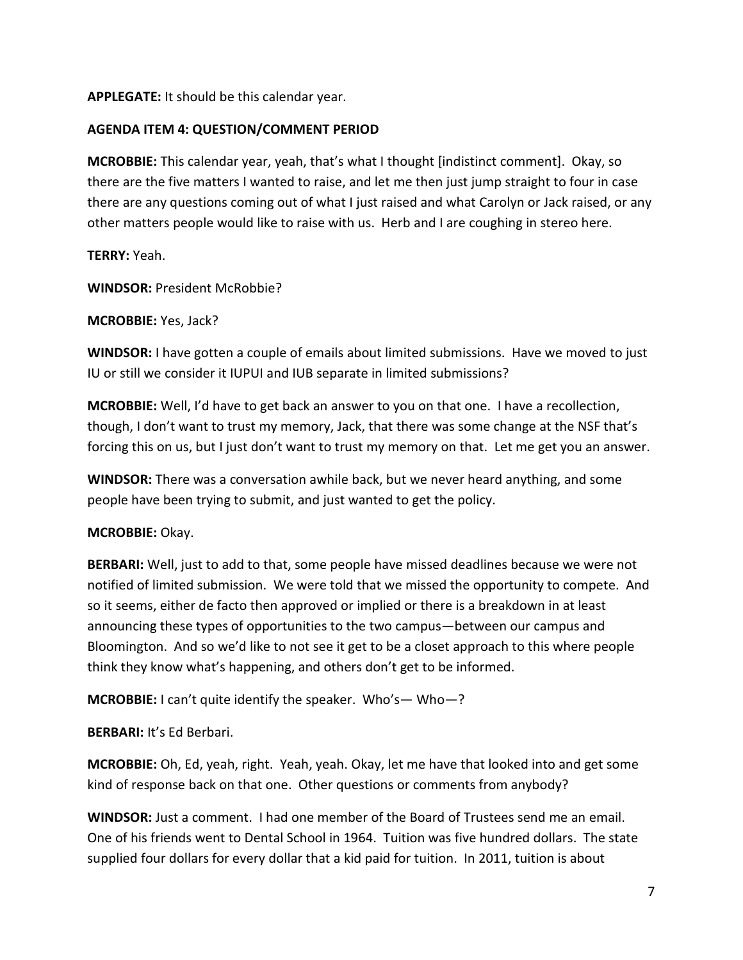**APPLEGATE:** It should be this calendar year.

### **AGENDA ITEM 4: QUESTION/COMMENT PERIOD**

**MCROBBIE:** This calendar year, yeah, that's what I thought [indistinct comment]. Okay, so there are the five matters I wanted to raise, and let me then just jump straight to four in case there are any questions coming out of what I just raised and what Carolyn or Jack raised, or any other matters people would like to raise with us. Herb and I are coughing in stereo here.

**TERRY:** Yeah.

**WINDSOR:** President McRobbie?

**MCROBBIE:** Yes, Jack?

**WINDSOR:** I have gotten a couple of emails about limited submissions. Have we moved to just IU or still we consider it IUPUI and IUB separate in limited submissions?

**MCROBBIE:** Well, I'd have to get back an answer to you on that one. I have a recollection, though, I don't want to trust my memory, Jack, that there was some change at the NSF that's forcing this on us, but I just don't want to trust my memory on that. Let me get you an answer.

**WINDSOR:** There was a conversation awhile back, but we never heard anything, and some people have been trying to submit, and just wanted to get the policy.

### **MCROBBIE:** Okay.

**BERBARI:** Well, just to add to that, some people have missed deadlines because we were not notified of limited submission. We were told that we missed the opportunity to compete. And so it seems, either de facto then approved or implied or there is a breakdown in at least announcing these types of opportunities to the two campus—between our campus and Bloomington. And so we'd like to not see it get to be a closet approach to this where people think they know what's happening, and others don't get to be informed.

**MCROBBIE:** I can't quite identify the speaker. Who's— Who—?

**BERBARI:** It's Ed Berbari.

**MCROBBIE:** Oh, Ed, yeah, right. Yeah, yeah. Okay, let me have that looked into and get some kind of response back on that one. Other questions or comments from anybody?

**WINDSOR:** Just a comment. I had one member of the Board of Trustees send me an email. One of his friends went to Dental School in 1964. Tuition was five hundred dollars. The state supplied four dollars for every dollar that a kid paid for tuition. In 2011, tuition is about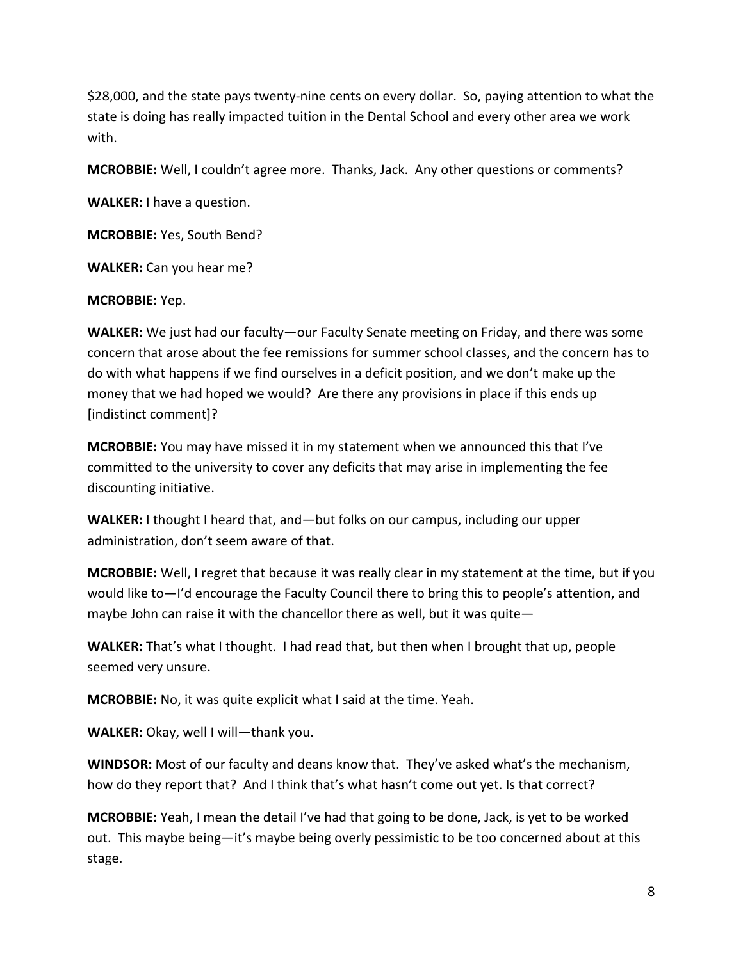\$28,000, and the state pays twenty-nine cents on every dollar. So, paying attention to what the state is doing has really impacted tuition in the Dental School and every other area we work with.

**MCROBBIE:** Well, I couldn't agree more. Thanks, Jack. Any other questions or comments?

**WALKER:** I have a question.

**MCROBBIE:** Yes, South Bend?

**WALKER:** Can you hear me?

#### **MCROBBIE:** Yep.

**WALKER:** We just had our faculty—our Faculty Senate meeting on Friday, and there was some concern that arose about the fee remissions for summer school classes, and the concern has to do with what happens if we find ourselves in a deficit position, and we don't make up the money that we had hoped we would? Are there any provisions in place if this ends up [indistinct comment]?

**MCROBBIE:** You may have missed it in my statement when we announced this that I've committed to the university to cover any deficits that may arise in implementing the fee discounting initiative.

**WALKER:** I thought I heard that, and—but folks on our campus, including our upper administration, don't seem aware of that.

**MCROBBIE:** Well, I regret that because it was really clear in my statement at the time, but if you would like to—I'd encourage the Faculty Council there to bring this to people's attention, and maybe John can raise it with the chancellor there as well, but it was quite—

**WALKER:** That's what I thought. I had read that, but then when I brought that up, people seemed very unsure.

**MCROBBIE:** No, it was quite explicit what I said at the time. Yeah.

**WALKER:** Okay, well I will—thank you.

**WINDSOR:** Most of our faculty and deans know that. They've asked what's the mechanism, how do they report that? And I think that's what hasn't come out yet. Is that correct?

**MCROBBIE:** Yeah, I mean the detail I've had that going to be done, Jack, is yet to be worked out. This maybe being—it's maybe being overly pessimistic to be too concerned about at this stage.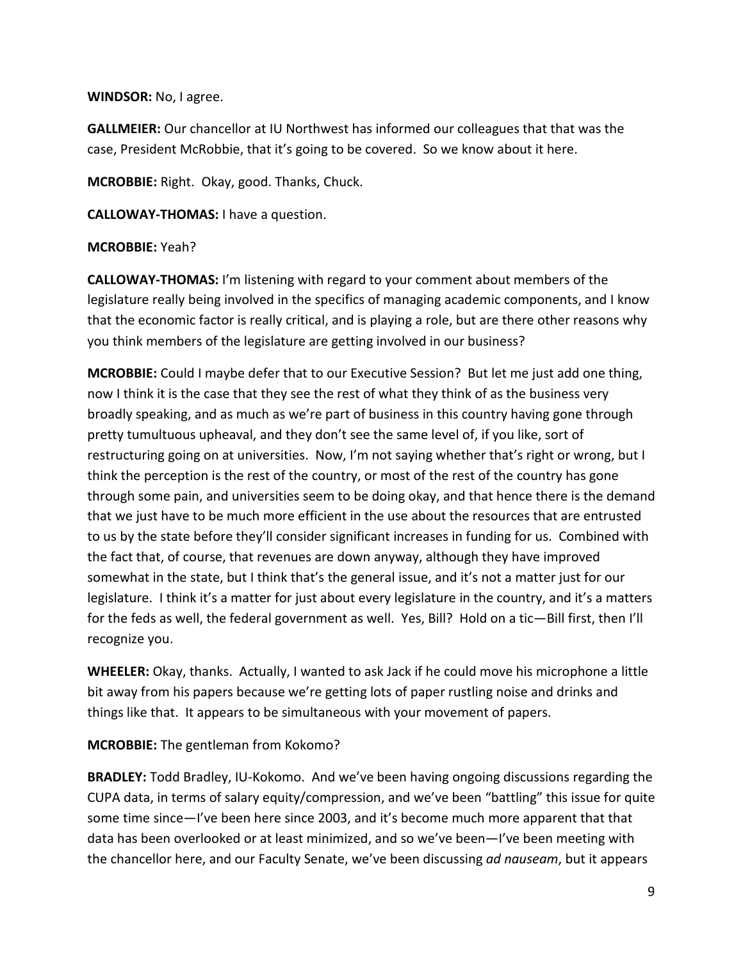**WINDSOR:** No, I agree.

**GALLMEIER:** Our chancellor at IU Northwest has informed our colleagues that that was the case, President McRobbie, that it's going to be covered. So we know about it here.

**MCROBBIE:** Right. Okay, good. Thanks, Chuck.

**CALLOWAY-THOMAS:** I have a question.

#### **MCROBBIE:** Yeah?

**CALLOWAY-THOMAS:** I'm listening with regard to your comment about members of the legislature really being involved in the specifics of managing academic components, and I know that the economic factor is really critical, and is playing a role, but are there other reasons why you think members of the legislature are getting involved in our business?

**MCROBBIE:** Could I maybe defer that to our Executive Session? But let me just add one thing, now I think it is the case that they see the rest of what they think of as the business very broadly speaking, and as much as we're part of business in this country having gone through pretty tumultuous upheaval, and they don't see the same level of, if you like, sort of restructuring going on at universities. Now, I'm not saying whether that's right or wrong, but I think the perception is the rest of the country, or most of the rest of the country has gone through some pain, and universities seem to be doing okay, and that hence there is the demand that we just have to be much more efficient in the use about the resources that are entrusted to us by the state before they'll consider significant increases in funding for us. Combined with the fact that, of course, that revenues are down anyway, although they have improved somewhat in the state, but I think that's the general issue, and it's not a matter just for our legislature. I think it's a matter for just about every legislature in the country, and it's a matters for the feds as well, the federal government as well. Yes, Bill? Hold on a tic—Bill first, then I'll recognize you.

**WHEELER:** Okay, thanks. Actually, I wanted to ask Jack if he could move his microphone a little bit away from his papers because we're getting lots of paper rustling noise and drinks and things like that. It appears to be simultaneous with your movement of papers.

**MCROBBIE:** The gentleman from Kokomo?

**BRADLEY:** Todd Bradley, IU-Kokomo. And we've been having ongoing discussions regarding the CUPA data, in terms of salary equity/compression, and we've been "battling" this issue for quite some time since—I've been here since 2003, and it's become much more apparent that that data has been overlooked or at least minimized, and so we've been—I've been meeting with the chancellor here, and our Faculty Senate, we've been discussing *ad nauseam*, but it appears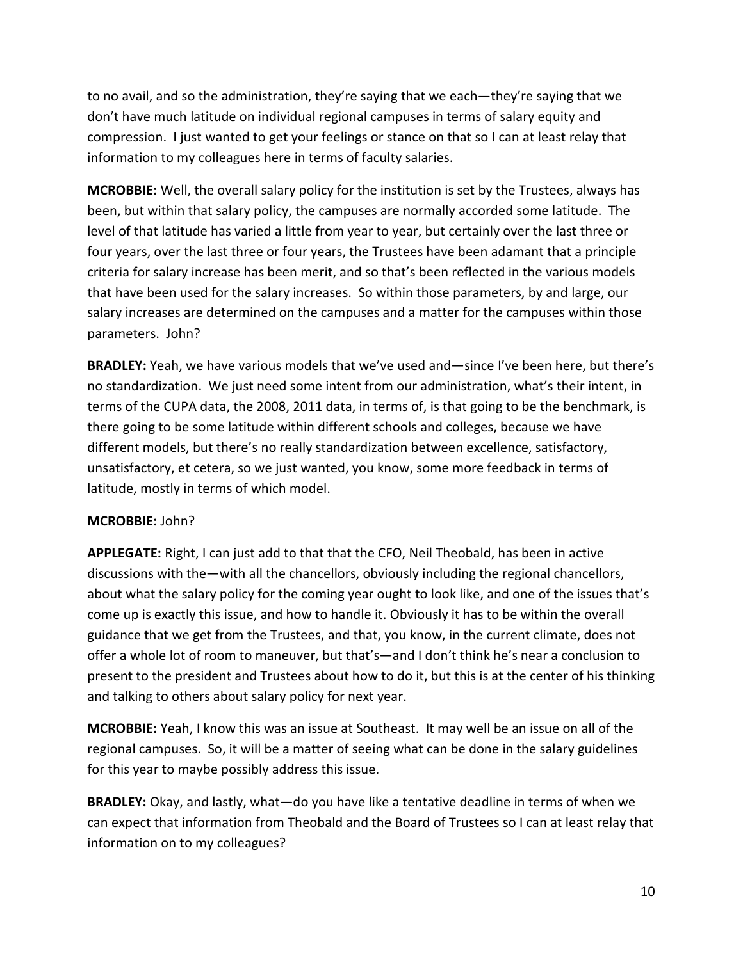to no avail, and so the administration, they're saying that we each—they're saying that we don't have much latitude on individual regional campuses in terms of salary equity and compression. I just wanted to get your feelings or stance on that so I can at least relay that information to my colleagues here in terms of faculty salaries.

**MCROBBIE:** Well, the overall salary policy for the institution is set by the Trustees, always has been, but within that salary policy, the campuses are normally accorded some latitude. The level of that latitude has varied a little from year to year, but certainly over the last three or four years, over the last three or four years, the Trustees have been adamant that a principle criteria for salary increase has been merit, and so that's been reflected in the various models that have been used for the salary increases. So within those parameters, by and large, our salary increases are determined on the campuses and a matter for the campuses within those parameters. John?

**BRADLEY:** Yeah, we have various models that we've used and—since I've been here, but there's no standardization. We just need some intent from our administration, what's their intent, in terms of the CUPA data, the 2008, 2011 data, in terms of, is that going to be the benchmark, is there going to be some latitude within different schools and colleges, because we have different models, but there's no really standardization between excellence, satisfactory, unsatisfactory, et cetera, so we just wanted, you know, some more feedback in terms of latitude, mostly in terms of which model.

### **MCROBBIE:** John?

**APPLEGATE:** Right, I can just add to that that the CFO, Neil Theobald, has been in active discussions with the—with all the chancellors, obviously including the regional chancellors, about what the salary policy for the coming year ought to look like, and one of the issues that's come up is exactly this issue, and how to handle it. Obviously it has to be within the overall guidance that we get from the Trustees, and that, you know, in the current climate, does not offer a whole lot of room to maneuver, but that's—and I don't think he's near a conclusion to present to the president and Trustees about how to do it, but this is at the center of his thinking and talking to others about salary policy for next year.

**MCROBBIE:** Yeah, I know this was an issue at Southeast. It may well be an issue on all of the regional campuses. So, it will be a matter of seeing what can be done in the salary guidelines for this year to maybe possibly address this issue.

**BRADLEY:** Okay, and lastly, what—do you have like a tentative deadline in terms of when we can expect that information from Theobald and the Board of Trustees so I can at least relay that information on to my colleagues?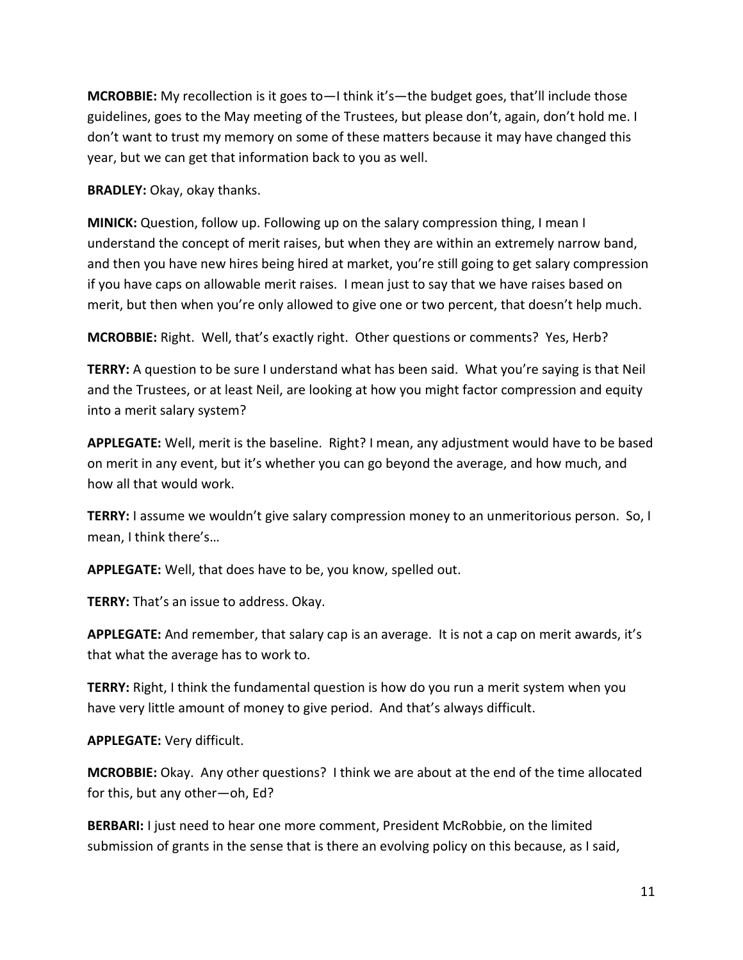**MCROBBIE:** My recollection is it goes to—I think it's—the budget goes, that'll include those guidelines, goes to the May meeting of the Trustees, but please don't, again, don't hold me. I don't want to trust my memory on some of these matters because it may have changed this year, but we can get that information back to you as well.

**BRADLEY:** Okay, okay thanks.

**MINICK:** Question, follow up. Following up on the salary compression thing, I mean I understand the concept of merit raises, but when they are within an extremely narrow band, and then you have new hires being hired at market, you're still going to get salary compression if you have caps on allowable merit raises. I mean just to say that we have raises based on merit, but then when you're only allowed to give one or two percent, that doesn't help much.

**MCROBBIE:** Right. Well, that's exactly right. Other questions or comments? Yes, Herb?

**TERRY:** A question to be sure I understand what has been said. What you're saying is that Neil and the Trustees, or at least Neil, are looking at how you might factor compression and equity into a merit salary system?

**APPLEGATE:** Well, merit is the baseline. Right? I mean, any adjustment would have to be based on merit in any event, but it's whether you can go beyond the average, and how much, and how all that would work.

**TERRY:** I assume we wouldn't give salary compression money to an unmeritorious person. So, I mean, I think there's…

**APPLEGATE:** Well, that does have to be, you know, spelled out.

**TERRY:** That's an issue to address. Okay.

**APPLEGATE:** And remember, that salary cap is an average. It is not a cap on merit awards, it's that what the average has to work to.

**TERRY:** Right, I think the fundamental question is how do you run a merit system when you have very little amount of money to give period. And that's always difficult.

**APPLEGATE:** Very difficult.

**MCROBBIE:** Okay. Any other questions? I think we are about at the end of the time allocated for this, but any other—oh, Ed?

**BERBARI:** I just need to hear one more comment, President McRobbie, on the limited submission of grants in the sense that is there an evolving policy on this because, as I said,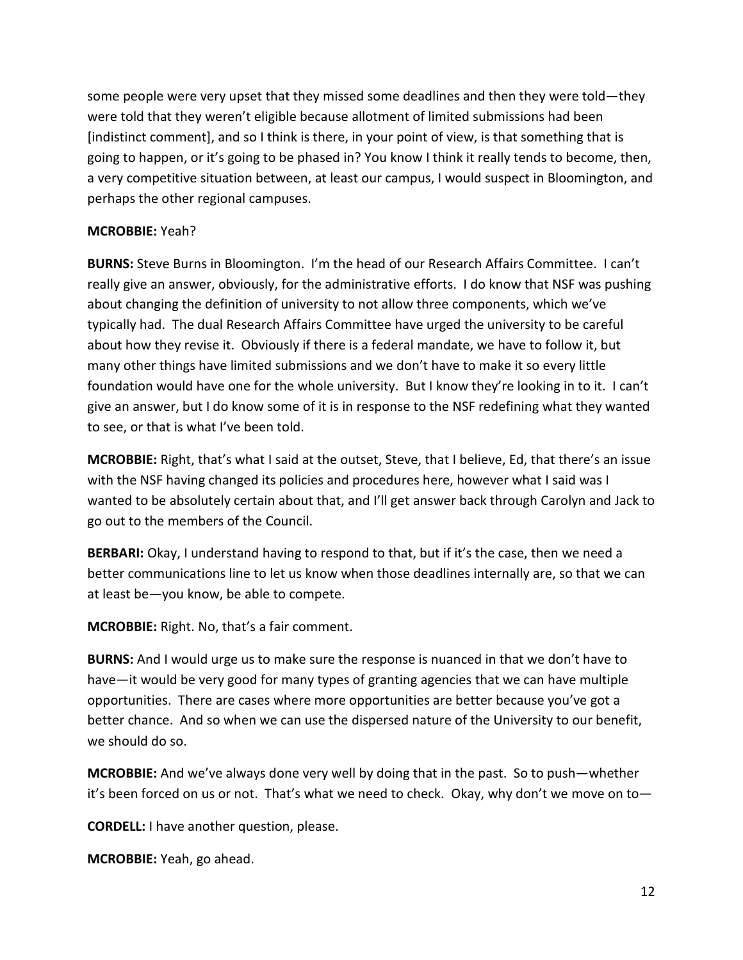some people were very upset that they missed some deadlines and then they were told—they were told that they weren't eligible because allotment of limited submissions had been [indistinct comment], and so I think is there, in your point of view, is that something that is going to happen, or it's going to be phased in? You know I think it really tends to become, then, a very competitive situation between, at least our campus, I would suspect in Bloomington, and perhaps the other regional campuses.

#### **MCROBBIE:** Yeah?

**BURNS:** Steve Burns in Bloomington. I'm the head of our Research Affairs Committee. I can't really give an answer, obviously, for the administrative efforts. I do know that NSF was pushing about changing the definition of university to not allow three components, which we've typically had. The dual Research Affairs Committee have urged the university to be careful about how they revise it. Obviously if there is a federal mandate, we have to follow it, but many other things have limited submissions and we don't have to make it so every little foundation would have one for the whole university. But I know they're looking in to it. I can't give an answer, but I do know some of it is in response to the NSF redefining what they wanted to see, or that is what I've been told.

**MCROBBIE:** Right, that's what I said at the outset, Steve, that I believe, Ed, that there's an issue with the NSF having changed its policies and procedures here, however what I said was I wanted to be absolutely certain about that, and I'll get answer back through Carolyn and Jack to go out to the members of the Council.

**BERBARI:** Okay, I understand having to respond to that, but if it's the case, then we need a better communications line to let us know when those deadlines internally are, so that we can at least be—you know, be able to compete.

**MCROBBIE:** Right. No, that's a fair comment.

**BURNS:** And I would urge us to make sure the response is nuanced in that we don't have to have—it would be very good for many types of granting agencies that we can have multiple opportunities. There are cases where more opportunities are better because you've got a better chance. And so when we can use the dispersed nature of the University to our benefit, we should do so.

**MCROBBIE:** And we've always done very well by doing that in the past. So to push—whether it's been forced on us or not. That's what we need to check. Okay, why don't we move on to—

**CORDELL:** I have another question, please.

**MCROBBIE:** Yeah, go ahead.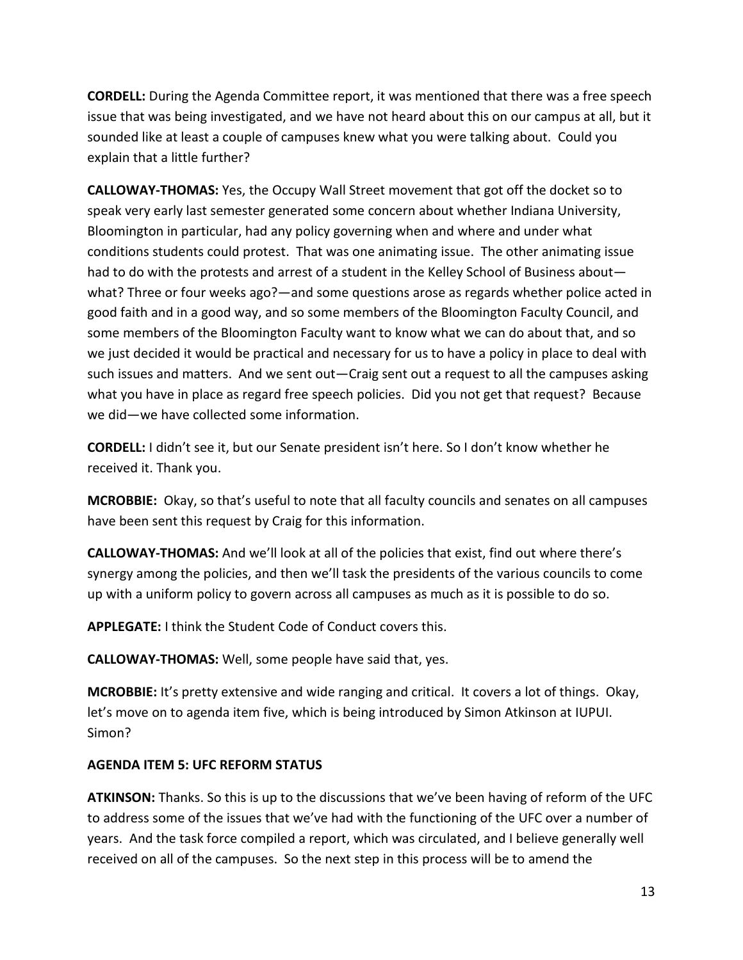**CORDELL:** During the Agenda Committee report, it was mentioned that there was a free speech issue that was being investigated, and we have not heard about this on our campus at all, but it sounded like at least a couple of campuses knew what you were talking about. Could you explain that a little further?

**CALLOWAY-THOMAS:** Yes, the Occupy Wall Street movement that got off the docket so to speak very early last semester generated some concern about whether Indiana University, Bloomington in particular, had any policy governing when and where and under what conditions students could protest. That was one animating issue. The other animating issue had to do with the protests and arrest of a student in the Kelley School of Business about what? Three or four weeks ago?—and some questions arose as regards whether police acted in good faith and in a good way, and so some members of the Bloomington Faculty Council, and some members of the Bloomington Faculty want to know what we can do about that, and so we just decided it would be practical and necessary for us to have a policy in place to deal with such issues and matters. And we sent out—Craig sent out a request to all the campuses asking what you have in place as regard free speech policies. Did you not get that request? Because we did—we have collected some information.

**CORDELL:** I didn't see it, but our Senate president isn't here. So I don't know whether he received it. Thank you.

**MCROBBIE:** Okay, so that's useful to note that all faculty councils and senates on all campuses have been sent this request by Craig for this information.

**CALLOWAY-THOMAS:** And we'll look at all of the policies that exist, find out where there's synergy among the policies, and then we'll task the presidents of the various councils to come up with a uniform policy to govern across all campuses as much as it is possible to do so.

**APPLEGATE:** I think the Student Code of Conduct covers this.

**CALLOWAY-THOMAS:** Well, some people have said that, yes.

**MCROBBIE:** It's pretty extensive and wide ranging and critical. It covers a lot of things. Okay, let's move on to agenda item five, which is being introduced by Simon Atkinson at IUPUI. Simon?

#### **AGENDA ITEM 5: UFC REFORM STATUS**

**ATKINSON:** Thanks. So this is up to the discussions that we've been having of reform of the UFC to address some of the issues that we've had with the functioning of the UFC over a number of years. And the task force compiled a report, which was circulated, and I believe generally well received on all of the campuses. So the next step in this process will be to amend the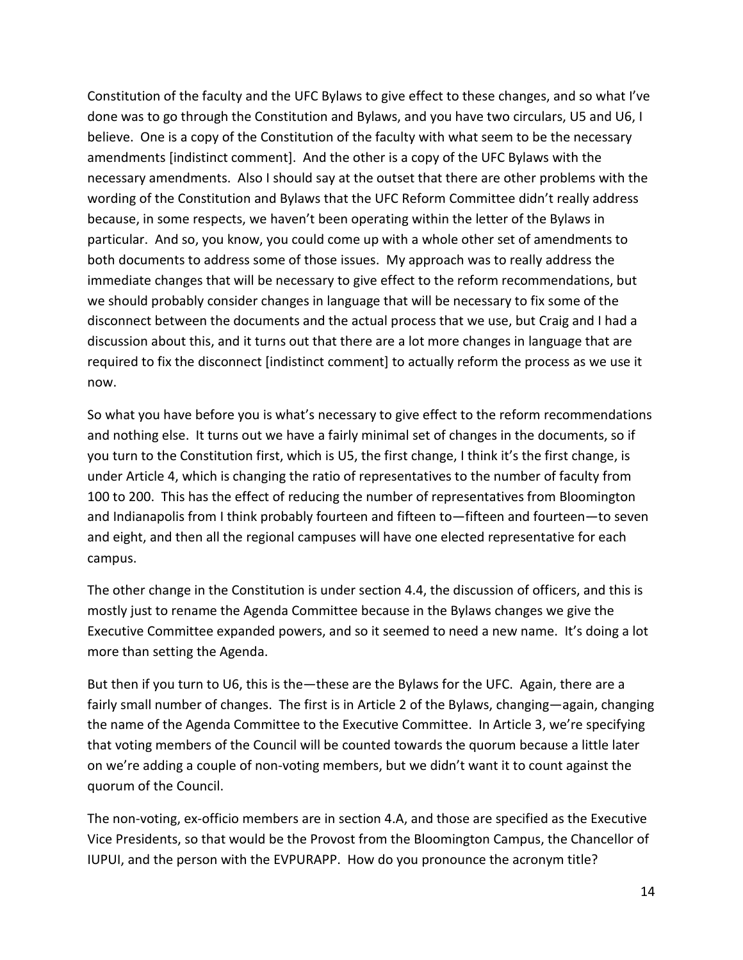Constitution of the faculty and the UFC Bylaws to give effect to these changes, and so what I've done was to go through the Constitution and Bylaws, and you have two circulars, U5 and U6, I believe. One is a copy of the Constitution of the faculty with what seem to be the necessary amendments [indistinct comment]. And the other is a copy of the UFC Bylaws with the necessary amendments. Also I should say at the outset that there are other problems with the wording of the Constitution and Bylaws that the UFC Reform Committee didn't really address because, in some respects, we haven't been operating within the letter of the Bylaws in particular. And so, you know, you could come up with a whole other set of amendments to both documents to address some of those issues. My approach was to really address the immediate changes that will be necessary to give effect to the reform recommendations, but we should probably consider changes in language that will be necessary to fix some of the disconnect between the documents and the actual process that we use, but Craig and I had a discussion about this, and it turns out that there are a lot more changes in language that are required to fix the disconnect [indistinct comment] to actually reform the process as we use it now.

So what you have before you is what's necessary to give effect to the reform recommendations and nothing else. It turns out we have a fairly minimal set of changes in the documents, so if you turn to the Constitution first, which is U5, the first change, I think it's the first change, is under Article 4, which is changing the ratio of representatives to the number of faculty from 100 to 200. This has the effect of reducing the number of representatives from Bloomington and Indianapolis from I think probably fourteen and fifteen to—fifteen and fourteen—to seven and eight, and then all the regional campuses will have one elected representative for each campus.

The other change in the Constitution is under section 4.4, the discussion of officers, and this is mostly just to rename the Agenda Committee because in the Bylaws changes we give the Executive Committee expanded powers, and so it seemed to need a new name. It's doing a lot more than setting the Agenda.

But then if you turn to U6, this is the—these are the Bylaws for the UFC. Again, there are a fairly small number of changes. The first is in Article 2 of the Bylaws, changing—again, changing the name of the Agenda Committee to the Executive Committee. In Article 3, we're specifying that voting members of the Council will be counted towards the quorum because a little later on we're adding a couple of non-voting members, but we didn't want it to count against the quorum of the Council.

The non-voting, ex-officio members are in section 4.A, and those are specified as the Executive Vice Presidents, so that would be the Provost from the Bloomington Campus, the Chancellor of IUPUI, and the person with the EVPURAPP. How do you pronounce the acronym title?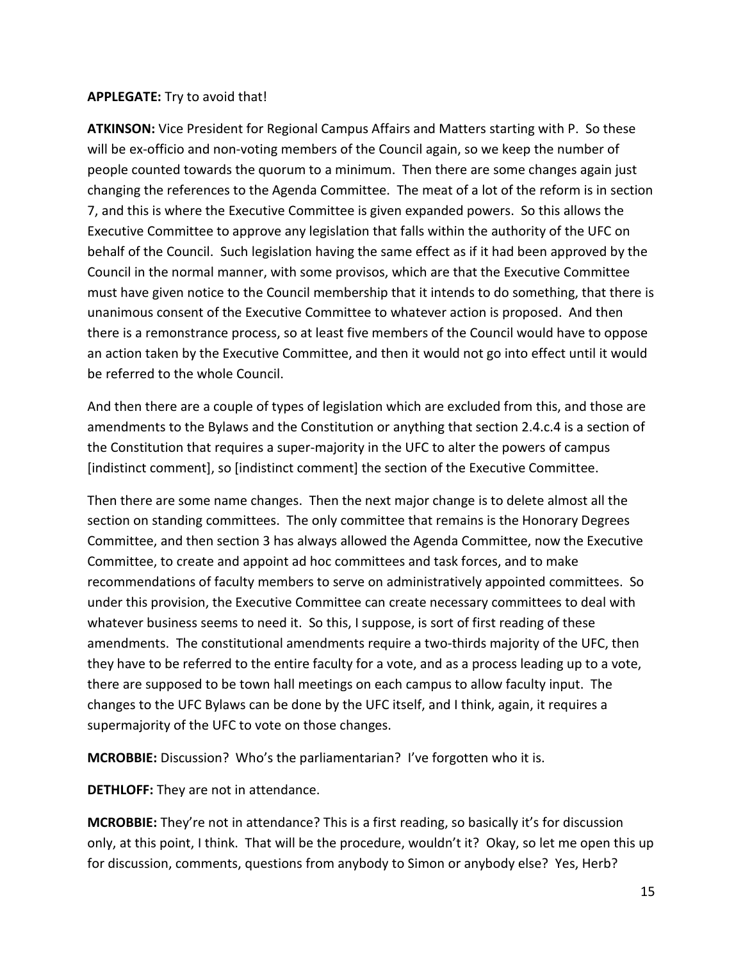### **APPLEGATE:** Try to avoid that!

**ATKINSON:** Vice President for Regional Campus Affairs and Matters starting with P. So these will be ex-officio and non-voting members of the Council again, so we keep the number of people counted towards the quorum to a minimum. Then there are some changes again just changing the references to the Agenda Committee. The meat of a lot of the reform is in section 7, and this is where the Executive Committee is given expanded powers. So this allows the Executive Committee to approve any legislation that falls within the authority of the UFC on behalf of the Council. Such legislation having the same effect as if it had been approved by the Council in the normal manner, with some provisos, which are that the Executive Committee must have given notice to the Council membership that it intends to do something, that there is unanimous consent of the Executive Committee to whatever action is proposed. And then there is a remonstrance process, so at least five members of the Council would have to oppose an action taken by the Executive Committee, and then it would not go into effect until it would be referred to the whole Council.

And then there are a couple of types of legislation which are excluded from this, and those are amendments to the Bylaws and the Constitution or anything that section 2.4.c.4 is a section of the Constitution that requires a super-majority in the UFC to alter the powers of campus [indistinct comment], so [indistinct comment] the section of the Executive Committee.

Then there are some name changes. Then the next major change is to delete almost all the section on standing committees. The only committee that remains is the Honorary Degrees Committee, and then section 3 has always allowed the Agenda Committee, now the Executive Committee, to create and appoint ad hoc committees and task forces, and to make recommendations of faculty members to serve on administratively appointed committees. So under this provision, the Executive Committee can create necessary committees to deal with whatever business seems to need it. So this, I suppose, is sort of first reading of these amendments. The constitutional amendments require a two-thirds majority of the UFC, then they have to be referred to the entire faculty for a vote, and as a process leading up to a vote, there are supposed to be town hall meetings on each campus to allow faculty input. The changes to the UFC Bylaws can be done by the UFC itself, and I think, again, it requires a supermajority of the UFC to vote on those changes.

**MCROBBIE:** Discussion? Who's the parliamentarian? I've forgotten who it is.

**DETHLOFF:** They are not in attendance.

**MCROBBIE:** They're not in attendance? This is a first reading, so basically it's for discussion only, at this point, I think. That will be the procedure, wouldn't it? Okay, so let me open this up for discussion, comments, questions from anybody to Simon or anybody else? Yes, Herb?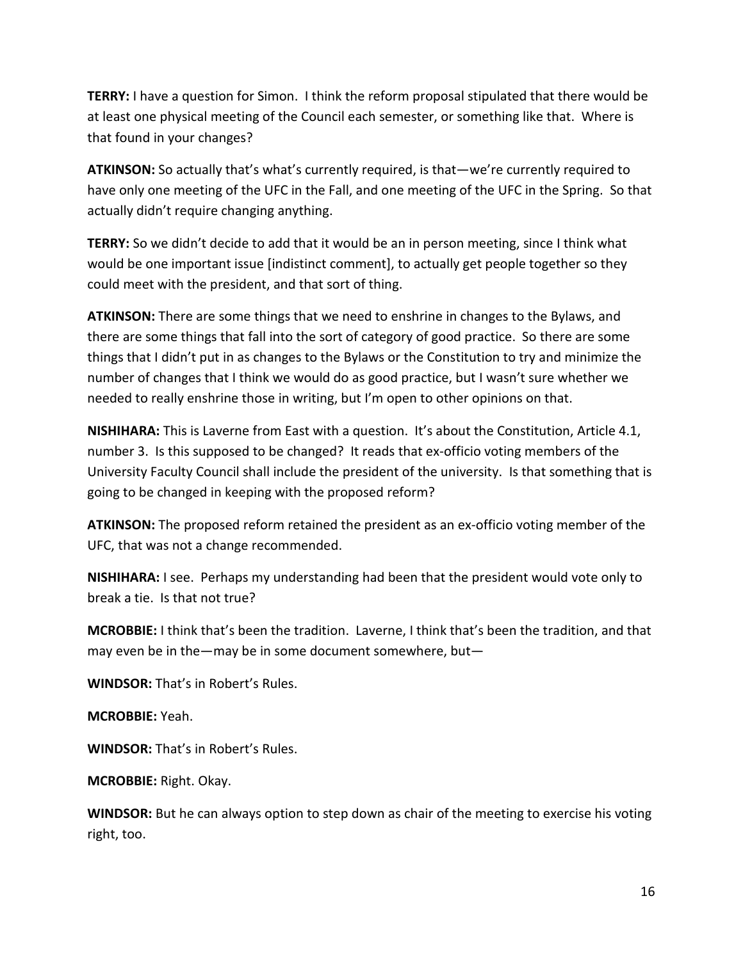**TERRY:** I have a question for Simon. I think the reform proposal stipulated that there would be at least one physical meeting of the Council each semester, or something like that. Where is that found in your changes?

**ATKINSON:** So actually that's what's currently required, is that—we're currently required to have only one meeting of the UFC in the Fall, and one meeting of the UFC in the Spring. So that actually didn't require changing anything.

**TERRY:** So we didn't decide to add that it would be an in person meeting, since I think what would be one important issue [indistinct comment], to actually get people together so they could meet with the president, and that sort of thing.

**ATKINSON:** There are some things that we need to enshrine in changes to the Bylaws, and there are some things that fall into the sort of category of good practice. So there are some things that I didn't put in as changes to the Bylaws or the Constitution to try and minimize the number of changes that I think we would do as good practice, but I wasn't sure whether we needed to really enshrine those in writing, but I'm open to other opinions on that.

**NISHIHARA:** This is Laverne from East with a question. It's about the Constitution, Article 4.1, number 3. Is this supposed to be changed? It reads that ex-officio voting members of the University Faculty Council shall include the president of the university. Is that something that is going to be changed in keeping with the proposed reform?

**ATKINSON:** The proposed reform retained the president as an ex-officio voting member of the UFC, that was not a change recommended.

**NISHIHARA:** I see. Perhaps my understanding had been that the president would vote only to break a tie. Is that not true?

**MCROBBIE:** I think that's been the tradition. Laverne, I think that's been the tradition, and that may even be in the—may be in some document somewhere, but—

**WINDSOR:** That's in Robert's Rules.

**MCROBBIE:** Yeah.

**WINDSOR:** That's in Robert's Rules.

**MCROBBIE:** Right. Okay.

**WINDSOR:** But he can always option to step down as chair of the meeting to exercise his voting right, too.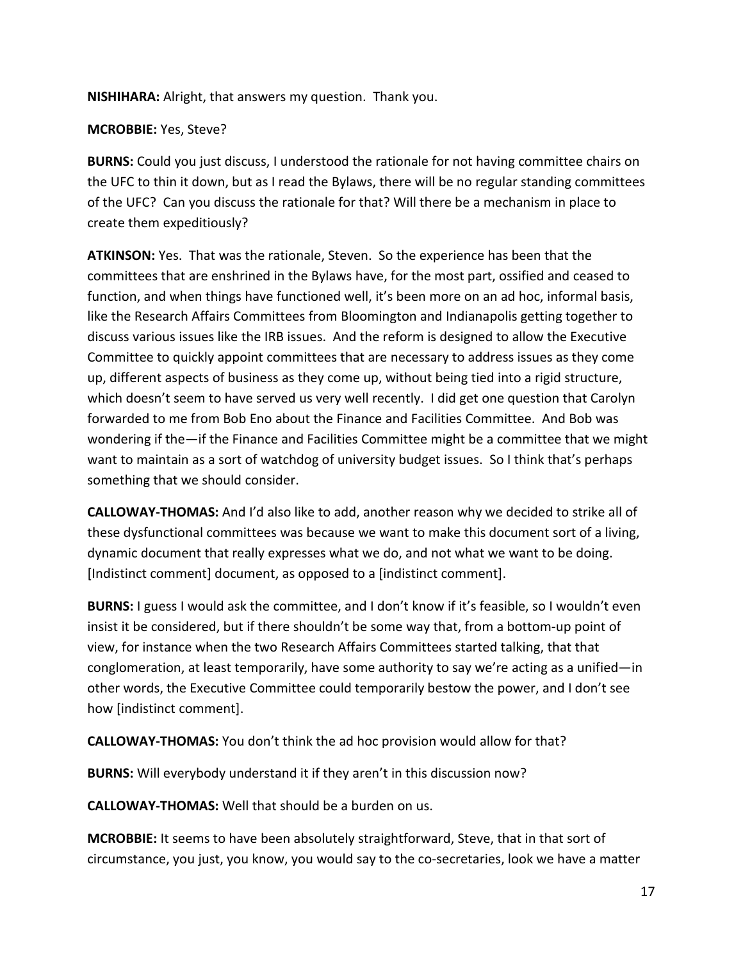**NISHIHARA:** Alright, that answers my question. Thank you.

### **MCROBBIE:** Yes, Steve?

**BURNS:** Could you just discuss, I understood the rationale for not having committee chairs on the UFC to thin it down, but as I read the Bylaws, there will be no regular standing committees of the UFC? Can you discuss the rationale for that? Will there be a mechanism in place to create them expeditiously?

**ATKINSON:** Yes. That was the rationale, Steven. So the experience has been that the committees that are enshrined in the Bylaws have, for the most part, ossified and ceased to function, and when things have functioned well, it's been more on an ad hoc, informal basis, like the Research Affairs Committees from Bloomington and Indianapolis getting together to discuss various issues like the IRB issues. And the reform is designed to allow the Executive Committee to quickly appoint committees that are necessary to address issues as they come up, different aspects of business as they come up, without being tied into a rigid structure, which doesn't seem to have served us very well recently. I did get one question that Carolyn forwarded to me from Bob Eno about the Finance and Facilities Committee. And Bob was wondering if the—if the Finance and Facilities Committee might be a committee that we might want to maintain as a sort of watchdog of university budget issues. So I think that's perhaps something that we should consider.

**CALLOWAY-THOMAS:** And I'd also like to add, another reason why we decided to strike all of these dysfunctional committees was because we want to make this document sort of a living, dynamic document that really expresses what we do, and not what we want to be doing. [Indistinct comment] document, as opposed to a [indistinct comment].

**BURNS:** I guess I would ask the committee, and I don't know if it's feasible, so I wouldn't even insist it be considered, but if there shouldn't be some way that, from a bottom-up point of view, for instance when the two Research Affairs Committees started talking, that that conglomeration, at least temporarily, have some authority to say we're acting as a unified—in other words, the Executive Committee could temporarily bestow the power, and I don't see how [indistinct comment].

**CALLOWAY-THOMAS:** You don't think the ad hoc provision would allow for that?

**BURNS:** Will everybody understand it if they aren't in this discussion now?

**CALLOWAY-THOMAS:** Well that should be a burden on us.

**MCROBBIE:** It seems to have been absolutely straightforward, Steve, that in that sort of circumstance, you just, you know, you would say to the co-secretaries, look we have a matter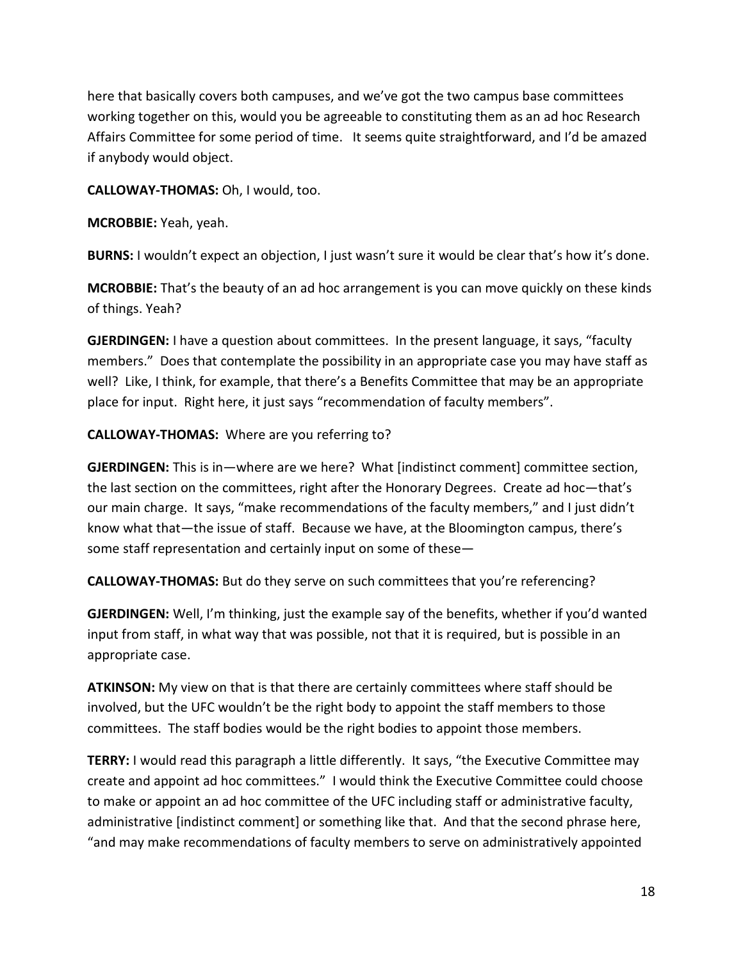here that basically covers both campuses, and we've got the two campus base committees working together on this, would you be agreeable to constituting them as an ad hoc Research Affairs Committee for some period of time. It seems quite straightforward, and I'd be amazed if anybody would object.

**CALLOWAY-THOMAS:** Oh, I would, too.

**MCROBBIE:** Yeah, yeah.

**BURNS:** I wouldn't expect an objection, I just wasn't sure it would be clear that's how it's done.

**MCROBBIE:** That's the beauty of an ad hoc arrangement is you can move quickly on these kinds of things. Yeah?

**GJERDINGEN:** I have a question about committees. In the present language, it says, "faculty members." Does that contemplate the possibility in an appropriate case you may have staff as well? Like, I think, for example, that there's a Benefits Committee that may be an appropriate place for input. Right here, it just says "recommendation of faculty members".

### **CALLOWAY-THOMAS:** Where are you referring to?

**GJERDINGEN:** This is in—where are we here? What [indistinct comment] committee section, the last section on the committees, right after the Honorary Degrees. Create ad hoc—that's our main charge. It says, "make recommendations of the faculty members," and I just didn't know what that—the issue of staff. Because we have, at the Bloomington campus, there's some staff representation and certainly input on some of these—

**CALLOWAY-THOMAS:** But do they serve on such committees that you're referencing?

**GJERDINGEN:** Well, I'm thinking, just the example say of the benefits, whether if you'd wanted input from staff, in what way that was possible, not that it is required, but is possible in an appropriate case.

**ATKINSON:** My view on that is that there are certainly committees where staff should be involved, but the UFC wouldn't be the right body to appoint the staff members to those committees. The staff bodies would be the right bodies to appoint those members.

**TERRY:** I would read this paragraph a little differently. It says, "the Executive Committee may create and appoint ad hoc committees." I would think the Executive Committee could choose to make or appoint an ad hoc committee of the UFC including staff or administrative faculty, administrative [indistinct comment] or something like that. And that the second phrase here, "and may make recommendations of faculty members to serve on administratively appointed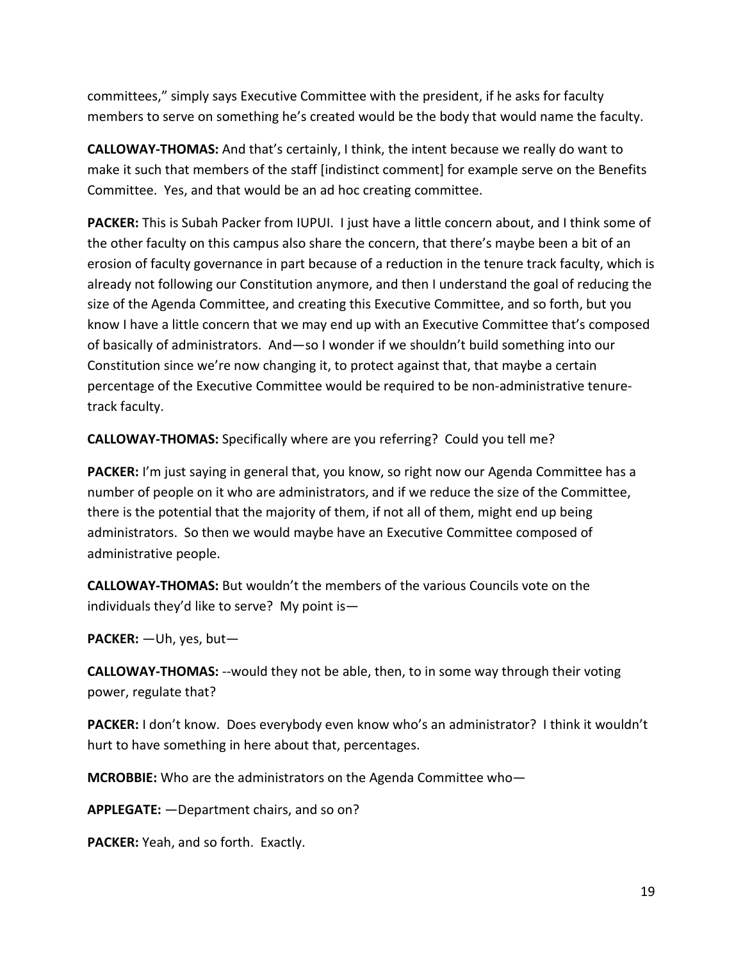committees," simply says Executive Committee with the president, if he asks for faculty members to serve on something he's created would be the body that would name the faculty.

**CALLOWAY-THOMAS:** And that's certainly, I think, the intent because we really do want to make it such that members of the staff [indistinct comment] for example serve on the Benefits Committee. Yes, and that would be an ad hoc creating committee.

**PACKER:** This is Subah Packer from IUPUI. I just have a little concern about, and I think some of the other faculty on this campus also share the concern, that there's maybe been a bit of an erosion of faculty governance in part because of a reduction in the tenure track faculty, which is already not following our Constitution anymore, and then I understand the goal of reducing the size of the Agenda Committee, and creating this Executive Committee, and so forth, but you know I have a little concern that we may end up with an Executive Committee that's composed of basically of administrators. And—so I wonder if we shouldn't build something into our Constitution since we're now changing it, to protect against that, that maybe a certain percentage of the Executive Committee would be required to be non-administrative tenuretrack faculty.

**CALLOWAY-THOMAS:** Specifically where are you referring? Could you tell me?

**PACKER:** I'm just saying in general that, you know, so right now our Agenda Committee has a number of people on it who are administrators, and if we reduce the size of the Committee, there is the potential that the majority of them, if not all of them, might end up being administrators. So then we would maybe have an Executive Committee composed of administrative people.

**CALLOWAY-THOMAS:** But wouldn't the members of the various Councils vote on the individuals they'd like to serve?My point is—

**PACKER:** —Uh, yes, but—

**CALLOWAY-THOMAS:** --would they not be able, then, to in some way through their voting power, regulate that?

**PACKER:** I don't know. Does everybody even know who's an administrator? I think it wouldn't hurt to have something in here about that, percentages.

**MCROBBIE:** Who are the administrators on the Agenda Committee who—

**APPLEGATE:** —Department chairs, and so on?

**PACKER:** Yeah, and so forth. Exactly.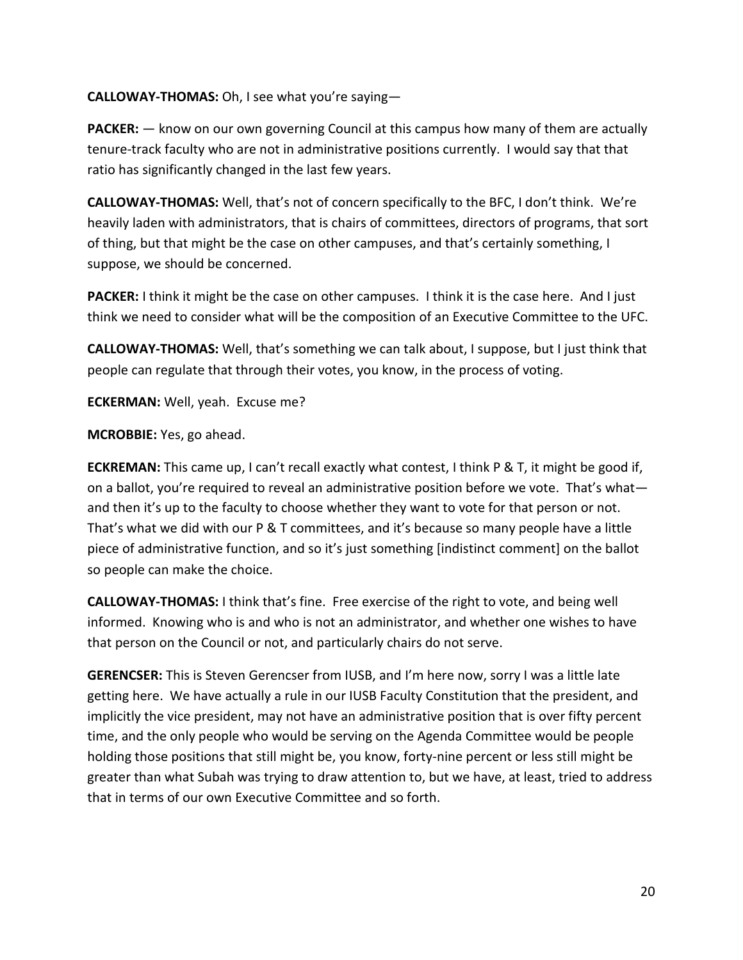### **CALLOWAY-THOMAS:** Oh, I see what you're saying—

**PACKER:** — know on our own governing Council at this campus how many of them are actually tenure-track faculty who are not in administrative positions currently. I would say that that ratio has significantly changed in the last few years.

**CALLOWAY-THOMAS:** Well, that's not of concern specifically to the BFC, I don't think. We're heavily laden with administrators, that is chairs of committees, directors of programs, that sort of thing, but that might be the case on other campuses, and that's certainly something, I suppose, we should be concerned.

**PACKER:** I think it might be the case on other campuses. I think it is the case here. And I just think we need to consider what will be the composition of an Executive Committee to the UFC.

**CALLOWAY-THOMAS:** Well, that's something we can talk about, I suppose, but I just think that people can regulate that through their votes, you know, in the process of voting.

**ECKERMAN:** Well, yeah. Excuse me?

**MCROBBIE:** Yes, go ahead.

**ECKREMAN:** This came up, I can't recall exactly what contest, I think P & T, it might be good if, on a ballot, you're required to reveal an administrative position before we vote. That's what and then it's up to the faculty to choose whether they want to vote for that person or not. That's what we did with our P & T committees, and it's because so many people have a little piece of administrative function, and so it's just something [indistinct comment] on the ballot so people can make the choice.

**CALLOWAY-THOMAS:** I think that's fine. Free exercise of the right to vote, and being well informed. Knowing who is and who is not an administrator, and whether one wishes to have that person on the Council or not, and particularly chairs do not serve.

**GERENCSER:** This is Steven Gerencser from IUSB, and I'm here now, sorry I was a little late getting here. We have actually a rule in our IUSB Faculty Constitution that the president, and implicitly the vice president, may not have an administrative position that is over fifty percent time, and the only people who would be serving on the Agenda Committee would be people holding those positions that still might be, you know, forty-nine percent or less still might be greater than what Subah was trying to draw attention to, but we have, at least, tried to address that in terms of our own Executive Committee and so forth.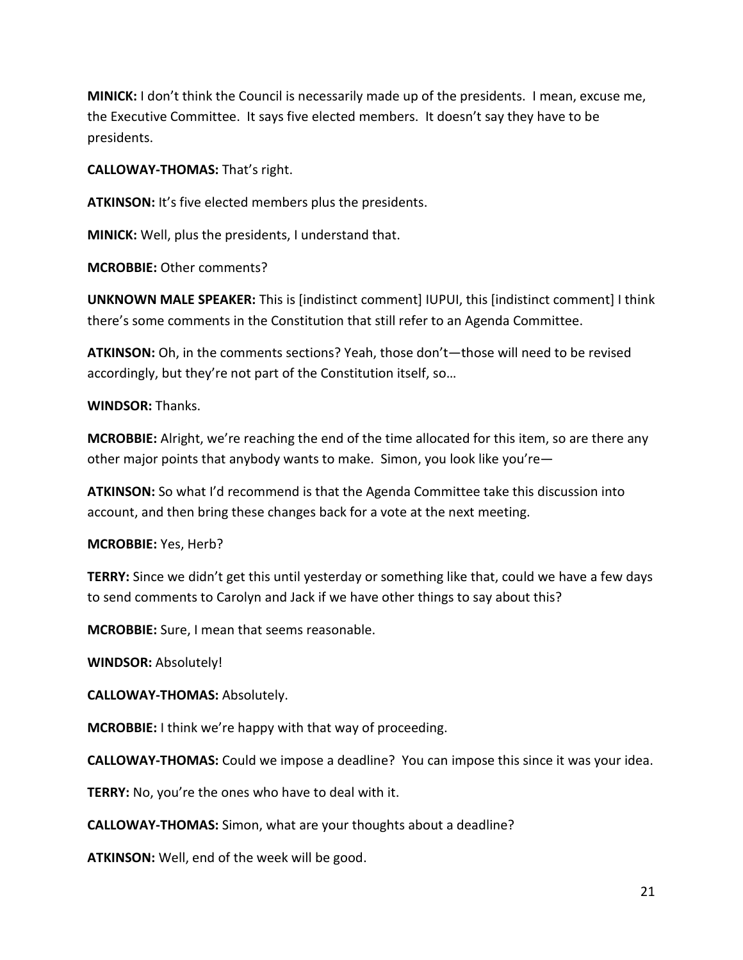**MINICK:** I don't think the Council is necessarily made up of the presidents. I mean, excuse me, the Executive Committee. It says five elected members. It doesn't say they have to be presidents.

**CALLOWAY-THOMAS:** That's right.

**ATKINSON:** It's five elected members plus the presidents.

**MINICK:** Well, plus the presidents, I understand that.

**MCROBBIE:** Other comments?

**UNKNOWN MALE SPEAKER:** This is [indistinct comment] IUPUI, this [indistinct comment] I think there's some comments in the Constitution that still refer to an Agenda Committee.

**ATKINSON:** Oh, in the comments sections? Yeah, those don't—those will need to be revised accordingly, but they're not part of the Constitution itself, so…

**WINDSOR:** Thanks.

**MCROBBIE:** Alright, we're reaching the end of the time allocated for this item, so are there any other major points that anybody wants to make. Simon, you look like you're—

**ATKINSON:** So what I'd recommend is that the Agenda Committee take this discussion into account, and then bring these changes back for a vote at the next meeting.

**MCROBBIE:** Yes, Herb?

**TERRY:** Since we didn't get this until yesterday or something like that, could we have a few days to send comments to Carolyn and Jack if we have other things to say about this?

**MCROBBIE:** Sure, I mean that seems reasonable.

**WINDSOR:** Absolutely!

**CALLOWAY-THOMAS:** Absolutely.

**MCROBBIE:** I think we're happy with that way of proceeding.

**CALLOWAY-THOMAS:** Could we impose a deadline? You can impose this since it was your idea.

**TERRY:** No, you're the ones who have to deal with it.

**CALLOWAY-THOMAS:** Simon, what are your thoughts about a deadline?

**ATKINSON:** Well, end of the week will be good.